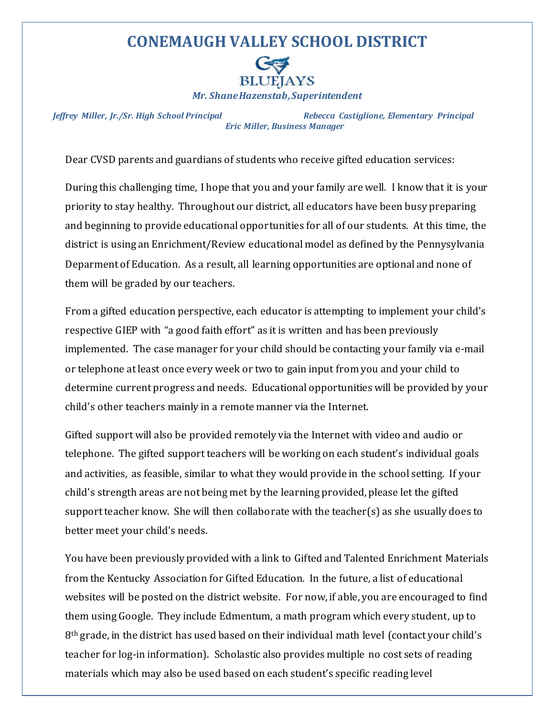## **CONEMAUGH VALLEY SCHOOL DISTRICT**



*Jeffrey Miller, Jr./Sr. High School Principal Rebecca Castiglione, Elementary Principal Eric Miller, Business Manager*

Dear CVSD parents and guardians of students who receive gifted education services:

During this challenging time, I hope that you and your family are well. I know that it is your priority to stay healthy. Throughout our district, all educators have been busy preparing and beginning to provide educational opportunities for all of our students. At this time, the district is using an Enrichment/Review educational model as defined by the Pennysylvania Deparment of Education. As a result, all learning opportunities are optional and none of them will be graded by our teachers.

From a gifted education perspective, each educator is attempting to implement your child's respective GIEP with "a good faith effort" as it is written and has been previously implemented. The case manager for your child should be contacting your family via e-mail or telephone at least once every week or two to gain input from you and your child to determine current progress and needs. Educational opportunities will be provided by your child's other teachers mainly in a remote manner via the Internet.

Gifted support will also be provided remotely via the Internet with video and audio or telephone. The gifted support teachers will be working on each student's individual goals and activities, as feasible, similar to what they would provide in the school setting. If your child's strength areas are not being met by the learning provided, please let the gifted support teacher know. She will then collaborate with the teacher(s) as she usually does to better meet your child's needs.

You have been previously provided with a link to Gifted and Talented Enrichment Materials from the Kentucky Association for Gifted Education. In the future, a list of educational websites will be posted on the district website. For now, if able, you are encouraged to find them using Google. They include Edmentum, a math program which every student, up to 8<sup>th</sup> grade, in the district has used based on their individual math level (contact your child's teacher for log-in information). Scholastic also provides multiple no cost sets of reading materials which may also be used based on each student's specific reading level